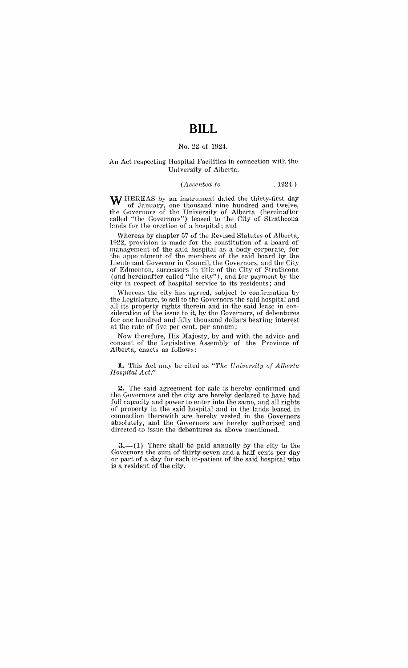# **BILL**

### No. 22 of 1924.

#### An Act respecting Hospital Facilities in connection with the University of Alberta.

#### *(Assented to* . 1924.)

W HEREAS by an instrument dated the thirty-first day of January, one thousand nine hundred and twelve, the Governors of the University of Alberta (hereinafter called "the Governors") leased to the City of Strathcona lands for the erection of a hospital; and

Whereas by chapter 57 of the Revised Statutes of Alberta, 1922, provision is made for the constitution of a board of management of the said hospital as a body corporate, for the appointment of the members of the said board by the Lieutenant Governor in Council, the Governors, and the City of Edmonton, successors in title of the City of Strathcona (and hereinafter called "the city"), and for payment by the city in respect of hospital service to its residents; and

Whereas the city has agreed, subject to confirmation by the Legislature, to sell to the Governors the said hospital and all its property rights therein and in the said lease in consideration of the issue to it, by the Governors, of debentures for one hundred and fifty thousand dollars bearing interest at the rate of five per cent. per annum;

Now therefore, His Majesty, by and with the advice and consent of the Legislative Assembly of the Province of Alberta, enacts as follows:

#### **:to** This Act may be cited as *"The University of Alberta H oS1)ital Act."*

**Z.** The said agreement for sale is hereby confirmed and the Governors and the city are hereby declared to have had full capacity and power to enter into the same, and all rights of property in the said hospital and in the lands leased in connection therewith are hereby vested in the Governors absolutely, and the Governors are hereby authorized and directed to issue the debentures as above mentioned.

 $3-(1)$  There shall be paid annually by the city to the Governors the sum of thirty-seven and a half cents per day or part of a day for each in-patient of the said hospital who is a resident of the city.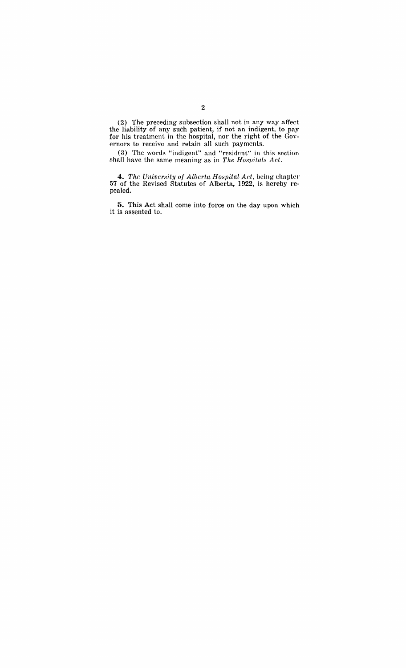(2) The preceding subsection shall not in any way affect the liability of any such patient, if not an indigent, to pay<br>for his treatment in the hospital, nor the right of the Governors to receive and retain all such payments.

(3) The words "indigent" and "resident" in this section shall have the same meaning as in The Hospitals Act.

4. The University of Alberta Hospital Act, being chapter 57 of the Revised Statutes of Alberta, 1922, is hereby repealed.

5. This Act shall come into force on the day upon which it is assented to.